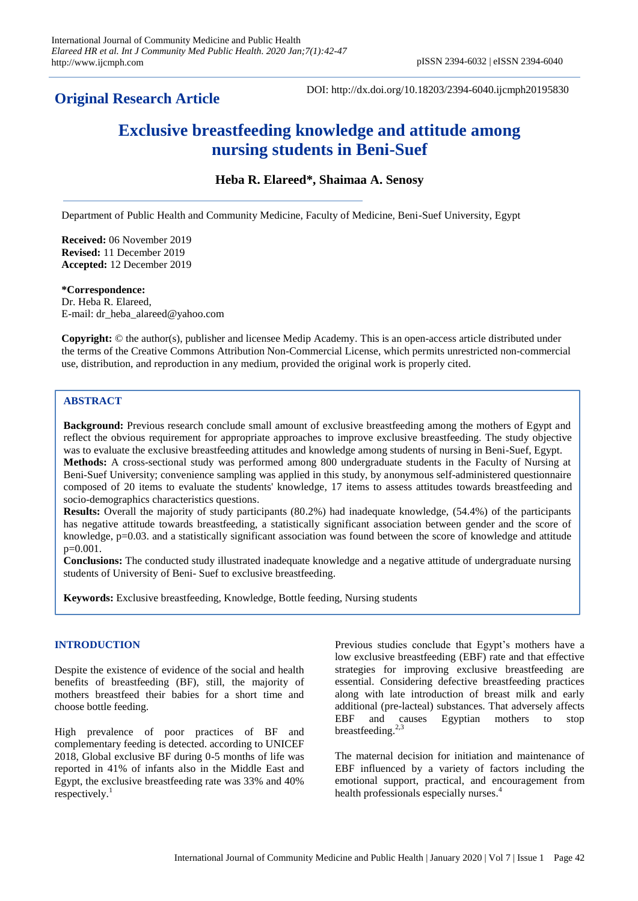# **Original Research Article**

DOI: http://dx.doi.org/10.18203/2394-6040.ijcmph20195830

# **Exclusive breastfeeding knowledge and attitude among nursing students in Beni-Suef**

**Heba R. Elareed\*, Shaimaa A. Senosy**

Department of Public Health and Community Medicine, Faculty of Medicine, Beni-Suef University, Egypt

**Received:** 06 November 2019 **Revised:** 11 December 2019 **Accepted:** 12 December 2019

**\*Correspondence:** Dr. Heba R. Elareed, E-mail: dr\_heba\_alareed@yahoo.com

**Copyright:** © the author(s), publisher and licensee Medip Academy. This is an open-access article distributed under the terms of the Creative Commons Attribution Non-Commercial License, which permits unrestricted non-commercial use, distribution, and reproduction in any medium, provided the original work is properly cited.

# **ABSTRACT**

**Background:** Previous research conclude small amount of exclusive breastfeeding among the mothers of Egypt and reflect the obvious requirement for appropriate approaches to improve exclusive breastfeeding. The study objective was to evaluate the exclusive breastfeeding attitudes and knowledge among students of nursing in Beni-Suef, Egypt. **Methods:** A cross-sectional study was performed among 800 undergraduate students in the Faculty of Nursing at Beni-Suef University; convenience sampling was applied in this study, by anonymous self-administered questionnaire composed of 20 items to evaluate the students' knowledge, 17 items to assess attitudes towards breastfeeding and socio-demographics characteristics questions.

**Results:** Overall the majority of study participants (80.2%) had inadequate knowledge, (54.4%) of the participants has negative attitude towards breastfeeding, a statistically significant association between gender and the score of knowledge, p=0.03. and a statistically significant association was found between the score of knowledge and attitude p=0.001.

**Conclusions:** The conducted study illustrated inadequate knowledge and a negative attitude of undergraduate nursing students of University of Beni- Suef to exclusive breastfeeding.

**Keywords:** Exclusive breastfeeding, Knowledge, Bottle feeding, Nursing students

# **INTRODUCTION**

Despite the existence of evidence of the social and health benefits of breastfeeding (BF), still, the majority of mothers breastfeed their babies for a short time and choose bottle feeding.

High prevalence of poor practices of BF and complementary feeding is detected. according to UNICEF 2018, Global exclusive BF during 0-5 months of life was reported in 41% of infants also in the Middle East and Egypt, the exclusive breastfeeding rate was 33% and 40% respectively.<sup>1</sup>

Previous studies conclude that Egypt's mothers have a low exclusive breastfeeding (EBF) rate and that effective strategies for improving exclusive breastfeeding are essential. Considering defective breastfeeding practices along with late introduction of breast milk and early additional (pre-lacteal) substances. That adversely affects EBF and causes Egyptian mothers to stop breastfeeding.<sup>2,3</sup>

The maternal decision for initiation and maintenance of EBF influenced by a variety of factors including the emotional support, practical, and encouragement from health professionals especially nurses. 4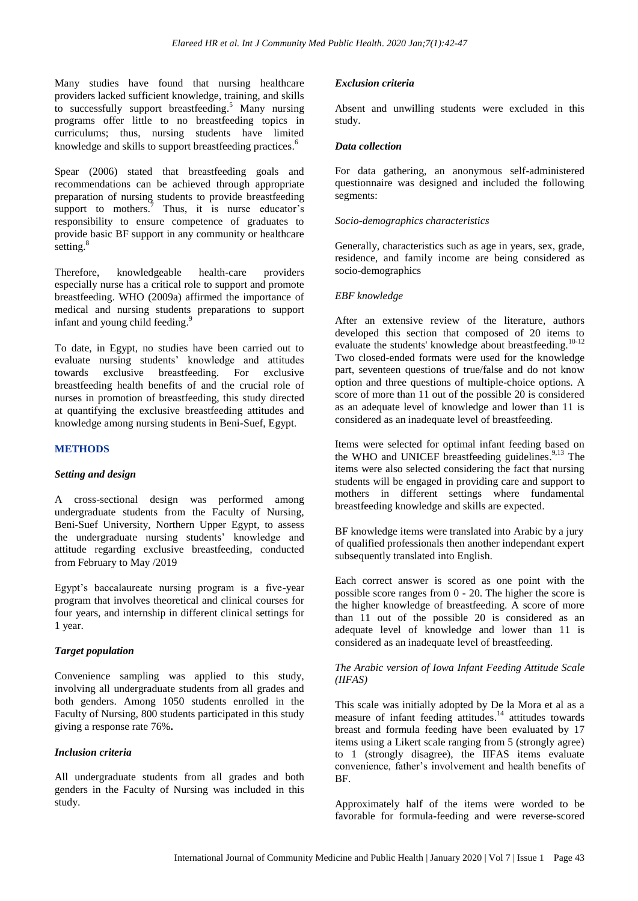Many studies have found that nursing healthcare providers lacked sufficient knowledge, training, and skills to successfully support breastfeeding.<sup>5</sup> Many nursing programs offer little to no breastfeeding topics in curriculums; thus, nursing students have limited knowledge and skills to support breastfeeding practices.<sup>6</sup>

Spear (2006) stated that breastfeeding goals and recommendations can be achieved through appropriate preparation of nursing students to provide breastfeeding support to mothers.<sup>7</sup> Thus, it is nurse educator's responsibility to ensure competence of graduates to provide basic BF support in any community or healthcare setting.<sup>8</sup>

Therefore, knowledgeable health-care providers especially nurse has a critical role to support and promote breastfeeding. WHO (2009a) affirmed the importance of medical and nursing students preparations to support infant and young child feeding.<sup>9</sup>

To date, in Egypt, no studies have been carried out to evaluate nursing students' knowledge and attitudes towards exclusive breastfeeding. For exclusive breastfeeding health benefits of and the crucial role of nurses in promotion of breastfeeding, this study directed at quantifying the exclusive breastfeeding attitudes and knowledge among nursing students in Beni-Suef, Egypt.

#### **METHODS**

#### *Setting and design*

A cross-sectional design was performed among undergraduate students from the Faculty of Nursing, Beni-Suef University, Northern Upper Egypt, to assess the undergraduate nursing students' knowledge and attitude regarding exclusive breastfeeding, conducted from February to May /2019

Egypt's baccalaureate nursing program is a five-year program that involves theoretical and clinical courses for four years, and internship in different clinical settings for 1 year.

#### *Target population*

Convenience sampling was applied to this study, involving all undergraduate students from all grades and both genders. Among 1050 students enrolled in the Faculty of Nursing, 800 students participated in this study giving a response rate 76%**.**

#### *Inclusion criteria*

All undergraduate students from all grades and both genders in the Faculty of Nursing was included in this study.

#### *Exclusion criteria*

Absent and unwilling students were excluded in this study.

# *Data collection*

For data gathering, an anonymous self-administered questionnaire was designed and included the following segments:

#### *Socio-demographics characteristics*

Generally, characteristics such as age in years, sex, grade, residence, and family income are being considered as socio-demographics

#### *EBF knowledge*

After an extensive review of the literature, authors developed this section that composed of 20 items to evaluate the students' knowledge about breastfeeding.<sup>10-12</sup> Two closed-ended formats were used for the knowledge part, seventeen questions of true/false and do not know option and three questions of multiple-choice options. A score of more than 11 out of the possible 20 is considered as an adequate level of knowledge and lower than 11 is considered as an inadequate level of breastfeeding.

Items were selected for optimal infant feeding based on the WHO and UNICEF breastfeeding guidelines.<sup>9,13</sup> The items were also selected considering the fact that nursing students will be engaged in providing care and support to mothers in different settings where fundamental breastfeeding knowledge and skills are expected.

BF knowledge items were translated into Arabic by a jury of qualified professionals then another independant expert subsequently translated into English.

Each correct answer is scored as one point with the possible score ranges from 0 - 20. The higher the score is the higher knowledge of breastfeeding. A score of more than 11 out of the possible 20 is considered as an adequate level of knowledge and lower than 11 is considered as an inadequate level of breastfeeding.

# *The Arabic version of Iowa Infant Feeding Attitude Scale (IIFAS)*

This scale was initially adopted by De la Mora et al as a measure of infant feeding attitudes.<sup>14</sup> attitudes towards breast and formula feeding have been evaluated by 17 items using a Likert scale ranging from 5 (strongly agree) to 1 (strongly disagree), the IIFAS items evaluate convenience, father's involvement and health benefits of BF.

Approximately half of the items were worded to be favorable for formula-feeding and were reverse-scored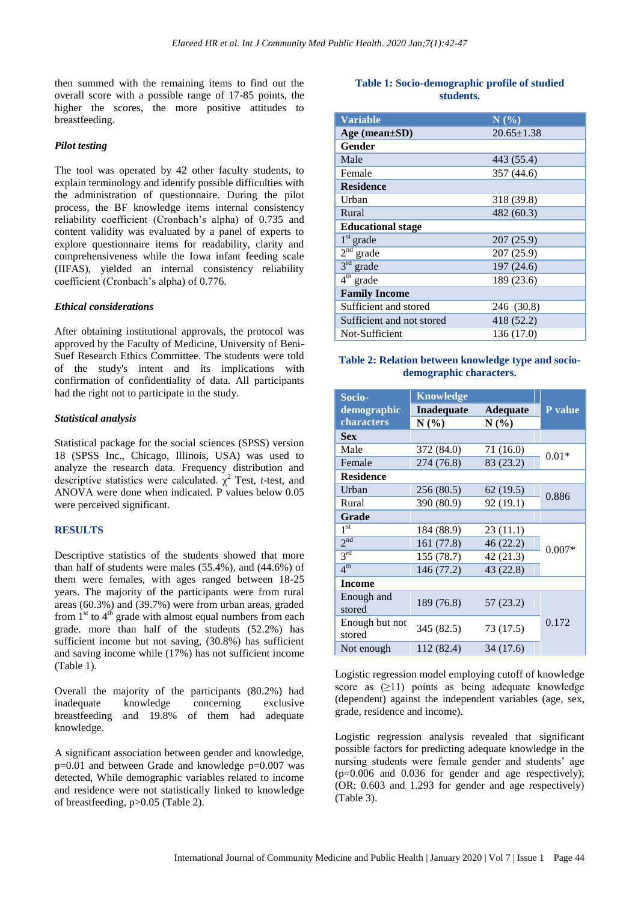then summed with the remaining items to find out the overall score with a possible range of 17-85 points, the higher the scores, the more positive attitudes to breastfeeding.

#### *Pilot testing*

The tool was operated by 42 other faculty students, to explain terminology and identify possible difficulties with the administration of questionnaire. During the pilot process, the BF knowledge items internal consistency reliability coefficient (Cronbach's alpha) of 0.735 and content validity was evaluated by a panel of experts to explore questionnaire items for readability, clarity and comprehensiveness while the Iowa infant feeding scale (IIFAS), yielded an internal consistency reliability coefficient (Cronbach's alpha) of 0.776.

#### *Ethical considerations*

After obtaining institutional approvals, the protocol was approved by the Faculty of Medicine, University of Beni-Suef Research Ethics Committee. The students were told of the study's intent and its implications with confirmation of confidentiality of data. All participants had the right not to participate in the study.

#### *Statistical analysis*

Statistical package for the social sciences (SPSS) version 18 (SPSS Inc., Chicago, Illinois, USA) was used to analyze the research data. Frequency distribution and descriptive statistics were calculated.  $\chi^2$  Test, *t*-test, and ANOVA were done when indicated. P values below 0.05 were perceived significant.

# **RESULTS**

Descriptive statistics of the students showed that more than half of students were males (55.4%), and (44.6%) of them were females, with ages ranged between 18-25 years. The majority of the participants were from rural areas (60.3%) and (39.7%) were from urban areas, graded from  $1<sup>st</sup>$  to  $4<sup>th</sup>$  grade with almost equal numbers from each grade. more than half of the students (52.2%) has sufficient income but not saving, (30.8%) has sufficient and saving income while (17%) has not sufficient income (Table 1).

Overall the majority of the participants (80.2%) had inadequate knowledge concerning exclusive breastfeeding and 19.8% of them had adequate knowledge.

A significant association between gender and knowledge, p=0.01 and between Grade and knowledge p=0.007 was detected, While demographic variables related to income and residence were not statistically linked to knowledge of breastfeeding, p>0.05 (Table 2).

# **Table 1: Socio-demographic profile of studied students.**

| <b>Variable</b>           | N(%)             |
|---------------------------|------------------|
| Age (mean $\pm SD$ )      | $20.65 \pm 1.38$ |
| Gender                    |                  |
| Male                      | 443 (55.4)       |
| Female                    | 357 (44.6)       |
| <b>Residence</b>          |                  |
| Urban                     | 318 (39.8)       |
| Rural                     | 482(60.3)        |
| <b>Educational stage</b>  |                  |
| $1st$ grade               | 207 (25.9)       |
| $2nd$ grade               | 207 (25.9)       |
| $3rd$ grade               | 197 (24.6)       |
| 4 <sup>th</sup><br>grade  | 189 (23.6)       |
| <b>Family Income</b>      |                  |
| Sufficient and stored     | 246 (30.8)       |
| Sufficient and not stored | 418 (52.2)       |
| Not-Sufficient            | 136 (17.0)       |

#### **Table 2: Relation between knowledge type and sociodemographic characters.**

| Socio-           | <b>Knowledge</b>  |                 |          |  |
|------------------|-------------------|-----------------|----------|--|
| demographic      | <b>Inadequate</b> | <b>Adequate</b> | P value  |  |
| characters       | N(%)              | N(%)            |          |  |
| <b>Sex</b>       |                   |                 |          |  |
| Male             | 372 (84.0)        | 71 (16.0)       |          |  |
| Female           | 274 (76.8)        | 83 (23.2)       | $0.01*$  |  |
| <b>Residence</b> |                   |                 |          |  |
| Urban            | 256 (80.5)        | 62 (19.5)       | 0.886    |  |
| Rural            | 390 (80.9)        | 92 (19.1)       |          |  |
| <b>Grade</b>     |                   |                 |          |  |
| 1 <sup>st</sup>  | 184 (88.9)        | 23 (11.1)       |          |  |
| 2 <sup>nd</sup>  | 161 (77.8)        | 46(22.2)        | $0.007*$ |  |
| 3 <sup>rd</sup>  | 155 (78.7)        | 42 (21.3)       |          |  |
| 4 <sup>th</sup>  | 146 (77.2)        | 43 (22.8)       |          |  |
| <b>Income</b>    |                   |                 |          |  |
| Enough and       | 189 (76.8)        | 57(23.2)        |          |  |
| stored           |                   |                 |          |  |
| Enough but not   | 345 (82.5)        | 73 (17.5)       | 0.172    |  |
| stored           |                   |                 |          |  |
| Not enough       | 112 (82.4)        | 34 (17.6)       |          |  |

Logistic regression model employing cutoff of knowledge score as  $(≥11)$  points as being adequate knowledge (dependent) against the independent variables (age, sex, grade, residence and income).

Logistic regression analysis revealed that significant possible factors for predicting adequate knowledge in the nursing students were female gender and students' age (p=0.006 and 0.036 for gender and age respectively); (OR: 0.603 and 1.293 for gender and age respectively) (Table 3).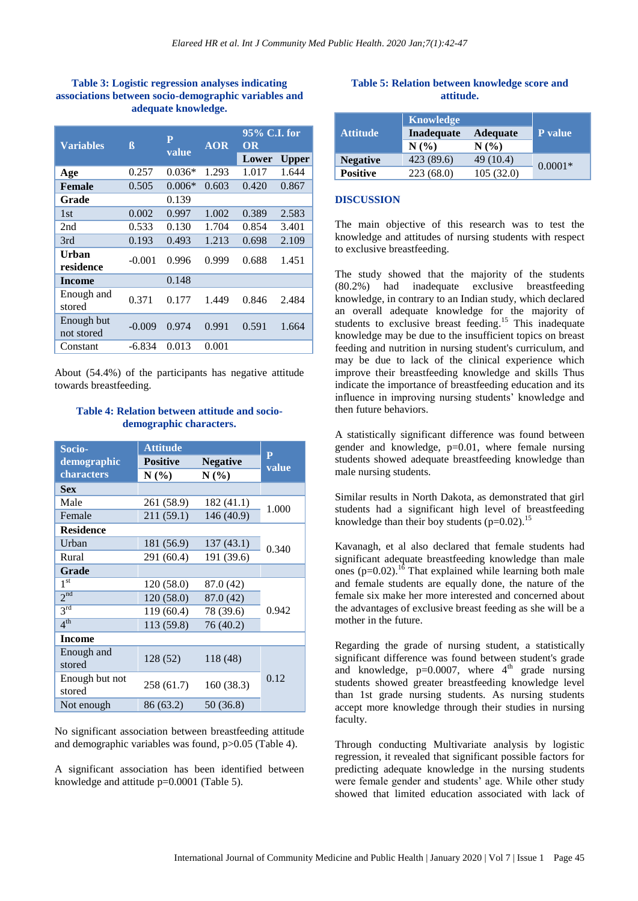# **Table 3: Logistic regression analyses indicating associations between socio-demographic variables and adequate knowledge.**

| <b>Variables</b>         | ß        | $\mathbf{P}$<br>value | <b>AOR</b> | 95% C.I. for<br>OR |              |
|--------------------------|----------|-----------------------|------------|--------------------|--------------|
|                          |          |                       |            | Lower              | <b>Upper</b> |
| Age                      | 0.257    | $0.036*$              | 1.293      | 1.017              | 1.644        |
| <b>Female</b>            | 0.505    | $0.006*$              | 0.603      | 0.420              | 0.867        |
| Grade                    |          | 0.139                 |            |                    |              |
| 1st                      | 0.002    | 0.997                 | 1.002      | 0.389              | 2.583        |
| 2nd                      | 0.533    | 0.130                 | 1.704      | 0.854              | 3.401        |
| 3rd                      | 0.193    | 0.493                 | 1.213      | 0.698              | 2.109        |
| Urban<br>residence       | $-0.001$ | 0.996                 | 0.999      | 0.688              | 1.451        |
| <b>Income</b>            |          | 0.148                 |            |                    |              |
| Enough and<br>stored     | 0.371    | 0.177                 | 1.449      | 0.846              | 2.484        |
| Enough but<br>not stored | $-0.009$ | 0.974                 | 0.991      | 0.591              | 1.664        |
| Constant                 | $-6.834$ | 0.013                 | 0.001      |                    |              |

About (54.4%) of the participants has negative attitude towards breastfeeding.

# **Table 4: Relation between attitude and sociodemographic characters.**

| Socio-           | <b>Attitude</b>                    |            | $\mathbf{P}$ |
|------------------|------------------------------------|------------|--------------|
| demographic      | <b>Positive</b><br><b>Negative</b> |            | value        |
| characters       | N(%)                               | N(%)       |              |
| <b>Sex</b>       |                                    |            |              |
| Male             | 261 (58.9)                         | 182 (41.1) | 1.000        |
| Female           | 211 (59.1)                         | 146 (40.9) |              |
| <b>Residence</b> |                                    |            |              |
| Urban            | 181 (56.9)                         | 137(43.1)  | 0.340        |
| Rural            | 291 (60.4)                         | 191 (39.6) |              |
| Grade            |                                    |            |              |
| 1 <sup>st</sup>  | 120(58.0)                          | 87.0 (42)  |              |
| 2 <sub>nd</sub>  | 120(58.0)                          | 87.0 (42)  |              |
| 3 <sup>rd</sup>  | 119(60.4)                          | 78 (39.6)  | 0.942        |
| 4 <sup>th</sup>  | 113 (59.8)                         | 76 (40.2)  |              |
| <b>Income</b>    |                                    |            |              |
| Enough and       | 128 (52)                           | 118 (48)   |              |
| stored           |                                    |            |              |
| Enough but not   | 258 (61.7)                         | 160 (38.3) | 0.12         |
| stored           |                                    |            |              |
| Not enough       | 86 (63.2)                          | 50 (36.8)  |              |

No significant association between breastfeeding attitude and demographic variables was found, p>0.05 (Table 4).

A significant association has been identified between knowledge and attitude p=0.0001 (Table 5).

#### **Table 5: Relation between knowledge score and attitude.**

|                 | <b>Knowledge</b>  |                 |           |
|-----------------|-------------------|-----------------|-----------|
| <b>Attitude</b> | <b>Inadequate</b> | <b>Adequate</b> | P value   |
|                 | $N(\%)$           | $N(\%)$         |           |
| <b>Negative</b> | 423 (89.6)        | 49 (10.4)       | $0.0001*$ |
| <b>Positive</b> | 223(68.0)         | 105(32.0)       |           |

#### **DISCUSSION**

The main objective of this research was to test the knowledge and attitudes of nursing students with respect to exclusive breastfeeding.

The study showed that the majority of the students (80.2%) had inadequate exclusive breastfeeding knowledge, in contrary to an Indian study, which declared an overall adequate knowledge for the majority of students to exclusive breast feeding.<sup>15</sup> This inadequate knowledge may be due to the insufficient topics on breast feeding and nutrition in nursing student's curriculum, and may be due to lack of the clinical experience which improve their breastfeeding knowledge and skills Thus indicate the importance of breastfeeding education and its influence in improving nursing students' knowledge and then future behaviors.

A statistically significant difference was found between gender and knowledge, p=0.01, where female nursing students showed adequate breastfeeding knowledge than male nursing students.

Similar results in North Dakota, as demonstrated that girl students had a significant high level of breastfeeding knowledge than their boy students ( $p=0.02$ ).<sup>15</sup>

Kavanagh, et al also declared that female students had significant adequate breastfeeding knowledge than male ones  $(p=0.02)$ .<sup>16</sup> That explained while learning both male and female students are equally done, the nature of the female six make her more interested and concerned about the advantages of exclusive breast feeding as she will be a mother in the future.

Regarding the grade of nursing student, a statistically significant difference was found between student's grade and knowledge,  $p=0.0007$ , where  $4<sup>th</sup>$  grade nursing students showed greater breastfeeding knowledge level than 1st grade nursing students. As nursing students accept more knowledge through their studies in nursing faculty.

Through conducting Multivariate analysis by logistic regression, it revealed that significant possible factors for predicting adequate knowledge in the nursing students were female gender and students' age. While other study showed that limited education associated with lack of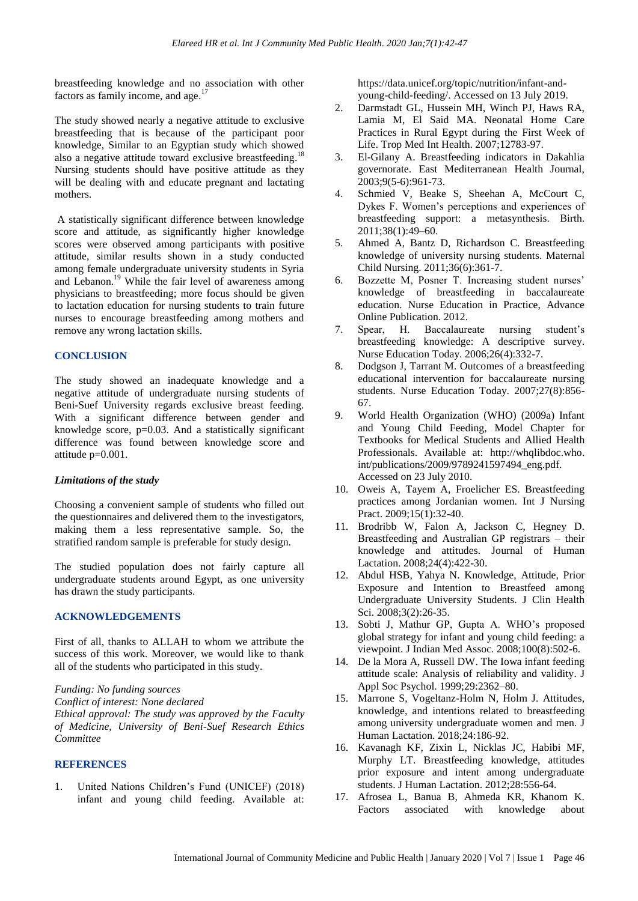breastfeeding knowledge and no association with other factors as family income, and age.<sup>17</sup>

The study showed nearly a negative attitude to exclusive breastfeeding that is because of the participant poor knowledge, Similar to an Egyptian study which showed also a negative attitude toward exclusive breastfeeding.<sup>18</sup> Nursing students should have positive attitude as they will be dealing with and educate pregnant and lactating mothers.

A statistically significant difference between knowledge score and attitude, as significantly higher knowledge scores were observed among participants with positive attitude, similar results shown in a study conducted among female undergraduate university students in Syria and Lebanon.<sup>19</sup> While the fair level of awareness among physicians to breastfeeding; more focus should be given to lactation education for nursing students to train future nurses to encourage breastfeeding among mothers and remove any wrong lactation skills.

# **CONCLUSION**

The study showed an inadequate knowledge and a negative attitude of undergraduate nursing students of Beni-Suef University regards exclusive breast feeding. With a significant difference between gender and knowledge score, p=0.03. And a statistically significant difference was found between knowledge score and attitude p=0.001.

# *Limitations of the study*

Choosing a convenient sample of students who filled out the questionnaires and delivered them to the investigators, making them a less representative sample. So, the stratified random sample is preferable for study design.

The studied population does not fairly capture all undergraduate students around Egypt, as one university has drawn the study participants.

# **ACKNOWLEDGEMENTS**

First of all, thanks to ALLAH to whom we attribute the success of this work. Moreover, we would like to thank all of the students who participated in this study.

*Funding: No funding sources*

*Conflict of interest: None declared*

*Ethical approval: The study was approved by the Faculty of Medicine, University of Beni-Suef Research Ethics Committee*

#### **REFERENCES**

1. United Nations Children's Fund (UNICEF) (2018) infant and young child feeding. Available at: https://data.unicef.org/topic/nutrition/infant-andyoung-child-feeding/. Accessed on 13 July 2019.

- 2. Darmstadt GL, Hussein MH, Winch PJ, Haws RA, Lamia M, El Said MA. Neonatal Home Care Practices in Rural Egypt during the First Week of Life. Trop Med Int Health. 2007;12783-97.
- 3. El-Gilany A. Breastfeeding indicators in Dakahlia governorate. East Mediterranean Health Journal, 2003;9(5-6):961-73.
- 4. Schmied V, Beake S, Sheehan A, McCourt C, Dykes F. Women's perceptions and experiences of breastfeeding support: a metasynthesis. Birth. 2011;38(1):49–60.
- 5. Ahmed A, Bantz D, Richardson C. Breastfeeding knowledge of university nursing students. Maternal Child Nursing. 2011;36(6):361-7.
- 6. Bozzette M, Posner T. Increasing student nurses' knowledge of breastfeeding in baccalaureate education. Nurse Education in Practice, Advance Online Publication. 2012.
- 7. Spear, H. Baccalaureate nursing student's breastfeeding knowledge: A descriptive survey. Nurse Education Today. 2006;26(4):332-7.
- 8. Dodgson J, Tarrant M. Outcomes of a breastfeeding educational intervention for baccalaureate nursing students. Nurse Education Today. 2007;27(8):856- 67.
- 9. World Health Organization (WHO) (2009a) Infant and Young Child Feeding, Model Chapter for Textbooks for Medical Students and Allied Health Professionals. Available at: http://whqlibdoc.who. int/publications/2009/9789241597494\_eng.pdf. Accessed on 23 July 2010.
- 10. Oweis A, Tayem A, Froelicher ES. Breastfeeding practices among Jordanian women. Int J Nursing Pract. 2009;15(1):32-40.
- 11. Brodribb W, Falon A, Jackson C, Hegney D. Breastfeeding and Australian GP registrars – their knowledge and attitudes. Journal of Human Lactation. 2008;24(4):422-30.
- 12. Abdul HSB, Yahya N. Knowledge, Attitude, Prior Exposure and Intention to Breastfeed among Undergraduate University Students. J Clin Health Sci. 2008;3(2):26-35.
- 13. Sobti J, Mathur GP, Gupta A. WHO's proposed global strategy for infant and young child feeding: a viewpoint. J Indian Med Assoc. 2008;100(8):502-6.
- 14. De la Mora A, Russell DW. The Iowa infant feeding attitude scale: Analysis of reliability and validity. J Appl Soc Psychol. 1999;29:2362–80.
- 15. Marrone S, Vogeltanz-Holm N, Holm J. Attitudes, knowledge, and intentions related to breastfeeding among university undergraduate women and men. J Human Lactation. 2018;24:186-92.
- 16. Kavanagh KF, Zixin L, Nicklas JC, Habibi MF, Murphy LT. Breastfeeding knowledge, attitudes prior exposure and intent among undergraduate students. J Human Lactation. 2012;28:556-64.
- 17. Afrosea L, Banua B, Ahmeda KR, Khanom K. Factors associated with knowledge about